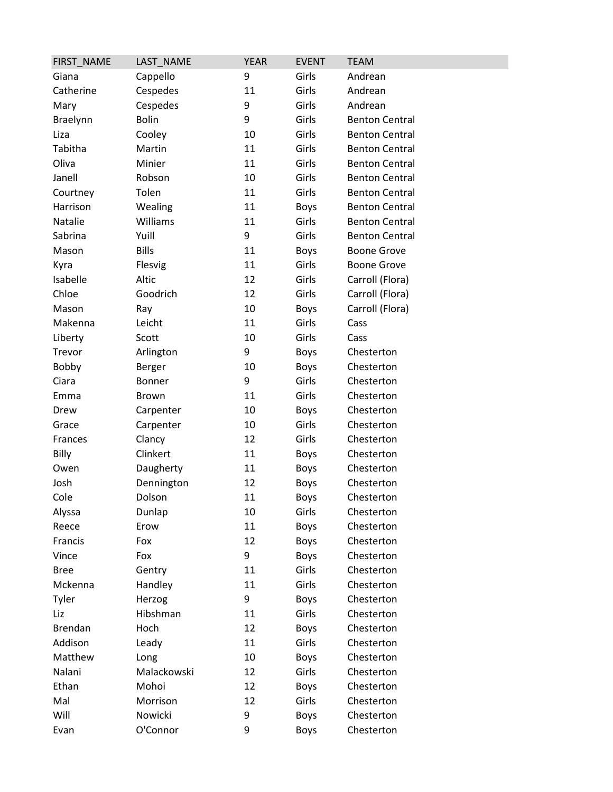| FIRST_NAME     | LAST_NAME    | <b>YEAR</b> | <b>EVENT</b> | <b>TEAM</b>           |
|----------------|--------------|-------------|--------------|-----------------------|
| Giana          | Cappello     | 9           | Girls        | Andrean               |
| Catherine      | Cespedes     | 11          | Girls        | Andrean               |
| Mary           | Cespedes     | 9           | Girls        | Andrean               |
| Braelynn       | <b>Bolin</b> | 9           | Girls        | <b>Benton Central</b> |
| Liza           | Cooley       | 10          | Girls        | <b>Benton Central</b> |
| Tabitha        | Martin       | 11          | Girls        | <b>Benton Central</b> |
| Oliva          | Minier       | 11          | Girls        | <b>Benton Central</b> |
| Janell         | Robson       | 10          | Girls        | <b>Benton Central</b> |
| Courtney       | Tolen        | 11          | Girls        | <b>Benton Central</b> |
| Harrison       | Wealing      | 11          | Boys         | <b>Benton Central</b> |
| Natalie        | Williams     | 11          | Girls        | <b>Benton Central</b> |
| Sabrina        | Yuill        | 9           | Girls        | <b>Benton Central</b> |
| Mason          | <b>Bills</b> | 11          | Boys         | <b>Boone Grove</b>    |
| Kyra           | Flesvig      | 11          | Girls        | <b>Boone Grove</b>    |
| Isabelle       | Altic        | 12          | Girls        | Carroll (Flora)       |
| Chloe          | Goodrich     | 12          | Girls        | Carroll (Flora)       |
| Mason          | Ray          | 10          | <b>Boys</b>  | Carroll (Flora)       |
| Makenna        | Leicht       | 11          | Girls        | Cass                  |
| Liberty        | Scott        | 10          | Girls        | Cass                  |
| Trevor         | Arlington    | 9           | <b>Boys</b>  | Chesterton            |
| <b>Bobby</b>   | Berger       | 10          | Boys         | Chesterton            |
| Ciara          | Bonner       | 9           | Girls        | Chesterton            |
| Emma           | Brown        | 11          | Girls        | Chesterton            |
| Drew           | Carpenter    | 10          | Boys         | Chesterton            |
| Grace          | Carpenter    | 10          | Girls        | Chesterton            |
| Frances        | Clancy       | 12          | Girls        | Chesterton            |
| Billy          | Clinkert     | 11          | Boys         | Chesterton            |
| Owen           | Daugherty    | 11          | Boys         | Chesterton            |
| Josh           | Dennington   | 12          | <b>Boys</b>  | Chesterton            |
| Cole           | Dolson       | 11          | <b>Boys</b>  | Chesterton            |
| Alyssa         | Dunlap       | 10          | Girls        | Chesterton            |
| Reece          | Erow         | 11          | <b>Boys</b>  | Chesterton            |
| Francis        | Fox          | 12          | Boys         | Chesterton            |
| Vince          | Fox          | 9           | Boys         | Chesterton            |
| <b>Bree</b>    | Gentry       | 11          | Girls        | Chesterton            |
| Mckenna        | Handley      | 11          | Girls        | Chesterton            |
| Tyler          | Herzog       | 9           | Boys         | Chesterton            |
| Liz            | Hibshman     | 11          | Girls        | Chesterton            |
| <b>Brendan</b> | Hoch         | 12          | <b>Boys</b>  | Chesterton            |
| Addison        | Leady        | 11          | Girls        | Chesterton            |
| Matthew        | Long         | 10          | Boys         | Chesterton            |
| Nalani         | Malackowski  | 12          | Girls        | Chesterton            |
| Ethan          | Mohoi        | 12          | Boys         | Chesterton            |
| Mal            | Morrison     | 12          | Girls        | Chesterton            |
| Will           | Nowicki      | 9           | Boys         | Chesterton            |
| Evan           | O'Connor     | 9           | Boys         | Chesterton            |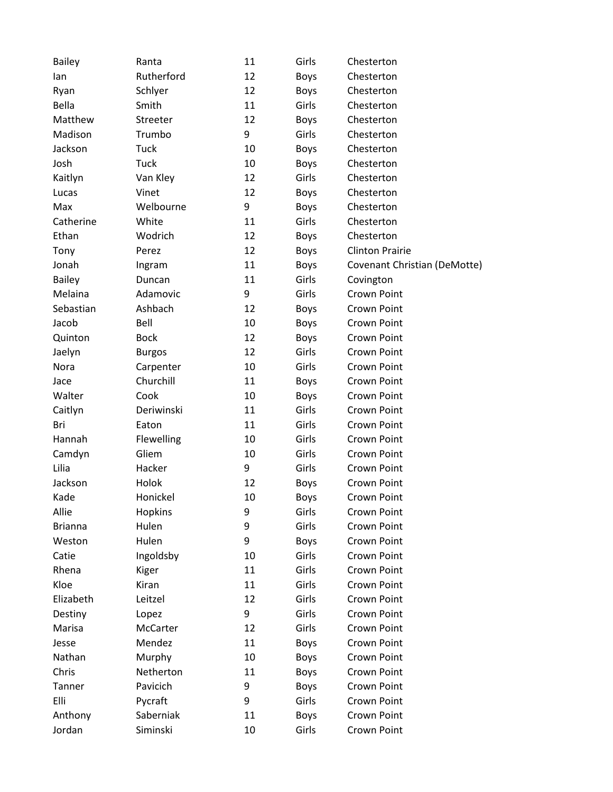| <b>Bailey</b>  | Ranta         | 11 | Girls       | Chesterton                   |
|----------------|---------------|----|-------------|------------------------------|
| lan            | Rutherford    | 12 | <b>Boys</b> | Chesterton                   |
| Ryan           | Schlyer       | 12 | <b>Boys</b> | Chesterton                   |
| Bella          | Smith         | 11 | Girls       | Chesterton                   |
| Matthew        | Streeter      | 12 | <b>Boys</b> | Chesterton                   |
| Madison        | Trumbo        | 9  | Girls       | Chesterton                   |
| Jackson        | <b>Tuck</b>   | 10 | <b>Boys</b> | Chesterton                   |
| Josh           | <b>Tuck</b>   | 10 | <b>Boys</b> | Chesterton                   |
| Kaitlyn        | Van Kley      | 12 | Girls       | Chesterton                   |
| Lucas          | Vinet         | 12 | <b>Boys</b> | Chesterton                   |
| Max            | Welbourne     | 9  | <b>Boys</b> | Chesterton                   |
| Catherine      | White         | 11 | Girls       | Chesterton                   |
| Ethan          | Wodrich       | 12 | <b>Boys</b> | Chesterton                   |
| Tony           | Perez         | 12 | <b>Boys</b> | <b>Clinton Prairie</b>       |
| Jonah          | Ingram        | 11 | <b>Boys</b> | Covenant Christian (DeMotte) |
| <b>Bailey</b>  | Duncan        | 11 | Girls       | Covington                    |
| Melaina        | Adamovic      | 9  | Girls       | Crown Point                  |
| Sebastian      | Ashbach       | 12 | <b>Boys</b> | Crown Point                  |
| Jacob          | Bell          | 10 | <b>Boys</b> | Crown Point                  |
| Quinton        | <b>Bock</b>   | 12 | <b>Boys</b> | Crown Point                  |
| Jaelyn         | <b>Burgos</b> | 12 | Girls       | Crown Point                  |
| Nora           | Carpenter     | 10 | Girls       | Crown Point                  |
| Jace           | Churchill     | 11 | <b>Boys</b> | Crown Point                  |
| Walter         | Cook          | 10 | <b>Boys</b> | Crown Point                  |
| Caitlyn        | Deriwinski    | 11 | Girls       | Crown Point                  |
| Bri            | Eaton         | 11 | Girls       | Crown Point                  |
| Hannah         | Flewelling    | 10 | Girls       | Crown Point                  |
| Camdyn         | Gliem         | 10 | Girls       | Crown Point                  |
| Lilia          | Hacker        | 9  | Girls       | Crown Point                  |
| Jackson        | Holok         | 12 | <b>Boys</b> | Crown Point                  |
| Kade           | Honickel      | 10 | <b>Boys</b> | Crown Point                  |
| Allie          | Hopkins       | 9  | Girls       | Crown Point                  |
| <b>Brianna</b> | Hulen         | 9  | Girls       | Crown Point                  |
| Weston         | Hulen         | 9  | <b>Boys</b> | Crown Point                  |
| Catie          | Ingoldsby     | 10 | Girls       | Crown Point                  |
| Rhena          | Kiger         | 11 | Girls       | Crown Point                  |
| Kloe           | Kiran         | 11 | Girls       | <b>Crown Point</b>           |
| Elizabeth      | Leitzel       | 12 | Girls       | Crown Point                  |
| Destiny        | Lopez         | 9  | Girls       | Crown Point                  |
| Marisa         | McCarter      | 12 | Girls       | Crown Point                  |
| Jesse          | Mendez        | 11 | <b>Boys</b> | Crown Point                  |
| Nathan         | Murphy        | 10 | <b>Boys</b> | Crown Point                  |
| Chris          | Netherton     | 11 | <b>Boys</b> | Crown Point                  |
| Tanner         | Pavicich      | 9  | <b>Boys</b> | Crown Point                  |
| Elli           | Pycraft       | 9  | Girls       | Crown Point                  |
| Anthony        | Saberniak     | 11 | <b>Boys</b> | Crown Point                  |
| Jordan         | Siminski      | 10 | Girls       | Crown Point                  |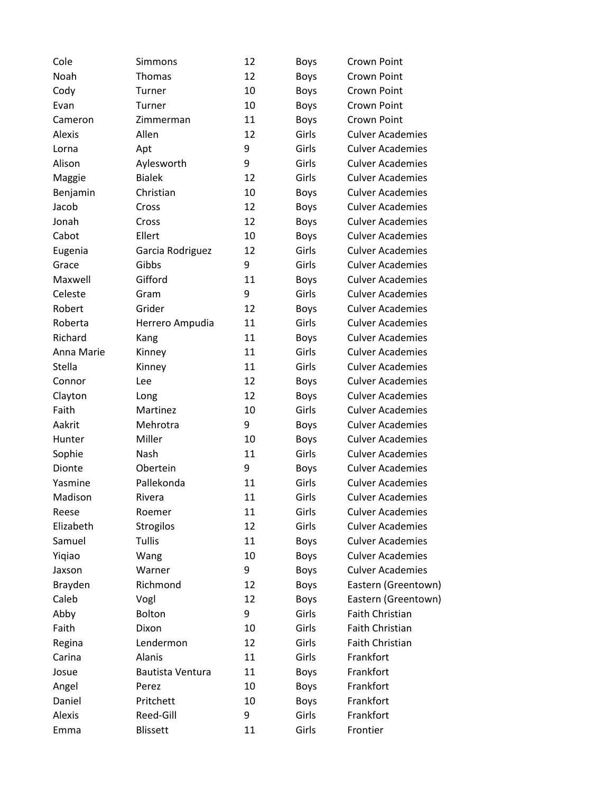| Cole          | Simmons          | 12 | <b>Boys</b> | <b>Crown Point</b>      |
|---------------|------------------|----|-------------|-------------------------|
| Noah          | Thomas           | 12 | <b>Boys</b> | Crown Point             |
| Cody          | Turner           | 10 | <b>Boys</b> | Crown Point             |
| Evan          | Turner           | 10 | <b>Boys</b> | Crown Point             |
| Cameron       | Zimmerman        | 11 | <b>Boys</b> | <b>Crown Point</b>      |
| <b>Alexis</b> | Allen            | 12 | Girls       | <b>Culver Academies</b> |
| Lorna         | Apt              | 9  | Girls       | <b>Culver Academies</b> |
| Alison        | Aylesworth       | 9  | Girls       | <b>Culver Academies</b> |
| Maggie        | <b>Bialek</b>    | 12 | Girls       | <b>Culver Academies</b> |
| Benjamin      | Christian        | 10 | <b>Boys</b> | <b>Culver Academies</b> |
| Jacob         | Cross            | 12 | <b>Boys</b> | <b>Culver Academies</b> |
| Jonah         | Cross            | 12 | <b>Boys</b> | <b>Culver Academies</b> |
| Cabot         | Ellert           | 10 | <b>Boys</b> | <b>Culver Academies</b> |
| Eugenia       | Garcia Rodriguez | 12 | Girls       | <b>Culver Academies</b> |
| Grace         | Gibbs            | 9  | Girls       | <b>Culver Academies</b> |
| Maxwell       | Gifford          | 11 | <b>Boys</b> | <b>Culver Academies</b> |
| Celeste       | Gram             | 9  | Girls       | <b>Culver Academies</b> |
| Robert        | Grider           | 12 | <b>Boys</b> | <b>Culver Academies</b> |
| Roberta       | Herrero Ampudia  | 11 | Girls       | <b>Culver Academies</b> |
| Richard       | Kang             | 11 | <b>Boys</b> | <b>Culver Academies</b> |
| Anna Marie    | Kinney           | 11 | Girls       | <b>Culver Academies</b> |
| Stella        | Kinney           | 11 | Girls       | <b>Culver Academies</b> |
| Connor        | Lee              | 12 | <b>Boys</b> | <b>Culver Academies</b> |
| Clayton       | Long             | 12 | <b>Boys</b> | <b>Culver Academies</b> |
| Faith         | Martinez         | 10 | Girls       | <b>Culver Academies</b> |
| Aakrit        | Mehrotra         | 9  | <b>Boys</b> | <b>Culver Academies</b> |
| Hunter        | Miller           | 10 | <b>Boys</b> | <b>Culver Academies</b> |
| Sophie        | Nash             | 11 | Girls       | <b>Culver Academies</b> |
| Dionte        | Obertein         | 9  | <b>Boys</b> | <b>Culver Academies</b> |
| Yasmine       | Pallekonda       | 11 | Girls       | <b>Culver Academies</b> |
| Madison       | Rivera           | 11 | Girls       | <b>Culver Academies</b> |
| Reese         | Roemer           | 11 | Girls       | <b>Culver Academies</b> |
| Elizabeth     | Strogilos        | 12 | Girls       | <b>Culver Academies</b> |
| Samuel        | <b>Tullis</b>    | 11 | <b>Boys</b> | <b>Culver Academies</b> |
| Yiqiao        | Wang             | 10 | <b>Boys</b> | <b>Culver Academies</b> |
| Jaxson        | Warner           | 9  | <b>Boys</b> | <b>Culver Academies</b> |
| Brayden       | Richmond         | 12 | <b>Boys</b> | Eastern (Greentown)     |
| Caleb         | Vogl             | 12 | <b>Boys</b> | Eastern (Greentown)     |
| Abby          | <b>Bolton</b>    | 9  | Girls       | Faith Christian         |
| Faith         | Dixon            | 10 | Girls       | Faith Christian         |
| Regina        | Lendermon        | 12 | Girls       | Faith Christian         |
| Carina        | Alanis           | 11 | Girls       | Frankfort               |
| Josue         | Bautista Ventura | 11 | <b>Boys</b> | Frankfort               |
| Angel         | Perez            | 10 | <b>Boys</b> | Frankfort               |
| Daniel        | Pritchett        | 10 | <b>Boys</b> | Frankfort               |
| Alexis        | Reed-Gill        | 9  | Girls       | Frankfort               |
| Emma          | <b>Blissett</b>  | 11 | Girls       | Frontier                |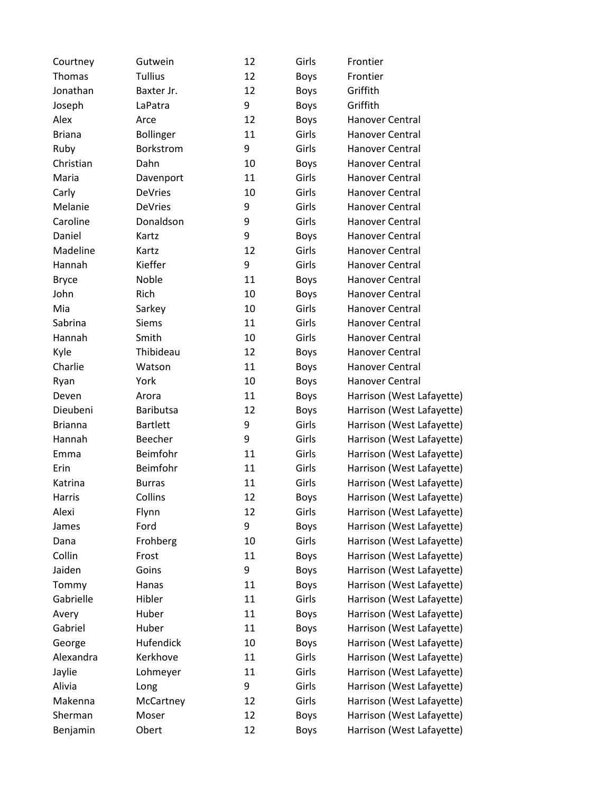| Courtney       | Gutwein          | 12 | Girls       | Frontier                  |
|----------------|------------------|----|-------------|---------------------------|
| Thomas         | <b>Tullius</b>   | 12 | <b>Boys</b> | Frontier                  |
| Jonathan       | Baxter Jr.       | 12 | <b>Boys</b> | Griffith                  |
| Joseph         | LaPatra          | 9  | <b>Boys</b> | Griffith                  |
| Alex           | Arce             | 12 | <b>Boys</b> | Hanover Central           |
| <b>Briana</b>  | <b>Bollinger</b> | 11 | Girls       | <b>Hanover Central</b>    |
| Ruby           | Borkstrom        | 9  | Girls       | Hanover Central           |
| Christian      | Dahn             | 10 | <b>Boys</b> | Hanover Central           |
| Maria          | Davenport        | 11 | Girls       | Hanover Central           |
| Carly          | <b>DeVries</b>   | 10 | Girls       | Hanover Central           |
| Melanie        | <b>DeVries</b>   | 9  | Girls       | Hanover Central           |
| Caroline       | Donaldson        | 9  | Girls       | Hanover Central           |
| Daniel         | Kartz            | 9  | <b>Boys</b> | Hanover Central           |
| Madeline       | Kartz            | 12 | Girls       | Hanover Central           |
| Hannah         | Kieffer          | 9  | Girls       | Hanover Central           |
| <b>Bryce</b>   | Noble            | 11 | <b>Boys</b> | Hanover Central           |
| John           | Rich             | 10 | <b>Boys</b> | Hanover Central           |
| Mia            | Sarkey           | 10 | Girls       | Hanover Central           |
| Sabrina        | <b>Siems</b>     | 11 | Girls       | <b>Hanover Central</b>    |
| Hannah         | Smith            | 10 | Girls       | Hanover Central           |
| Kyle           | Thibideau        | 12 | <b>Boys</b> | Hanover Central           |
| Charlie        | Watson           | 11 | <b>Boys</b> | Hanover Central           |
| Ryan           | York             | 10 | <b>Boys</b> | Hanover Central           |
| Deven          | Arora            | 11 | <b>Boys</b> | Harrison (West Lafayette) |
| Dieubeni       | Baributsa        | 12 | <b>Boys</b> | Harrison (West Lafayette) |
| <b>Brianna</b> | <b>Bartlett</b>  | 9  | Girls       | Harrison (West Lafayette) |
| Hannah         | <b>Beecher</b>   | 9  | Girls       | Harrison (West Lafayette) |
| Emma           | Beimfohr         | 11 | Girls       | Harrison (West Lafayette) |
| Erin           | Beimfohr         | 11 | Girls       | Harrison (West Lafayette) |
| Katrina        | <b>Burras</b>    | 11 | Girls       | Harrison (West Lafayette) |
| Harris         | Collins          | 12 | <b>Boys</b> | Harrison (West Lafayette) |
| Alexi          | Flynn            | 12 | Girls       | Harrison (West Lafayette) |
| James          | Ford             | 9  | <b>Boys</b> | Harrison (West Lafayette) |
| Dana           | Frohberg         | 10 | Girls       | Harrison (West Lafayette) |
| Collin         | Frost            | 11 | <b>Boys</b> | Harrison (West Lafayette) |
| Jaiden         | Goins            | 9  | <b>Boys</b> | Harrison (West Lafayette) |
| Tommy          | Hanas            | 11 | <b>Boys</b> | Harrison (West Lafayette) |
| Gabrielle      | Hibler           | 11 | Girls       | Harrison (West Lafayette) |
| Avery          | Huber            | 11 | <b>Boys</b> | Harrison (West Lafayette) |
| Gabriel        | Huber            | 11 | <b>Boys</b> | Harrison (West Lafayette) |
| George         | Hufendick        | 10 | <b>Boys</b> | Harrison (West Lafayette) |
| Alexandra      | Kerkhove         | 11 | Girls       | Harrison (West Lafayette) |
| Jaylie         | Lohmeyer         | 11 | Girls       | Harrison (West Lafayette) |
| Alivia         | Long             | 9  | Girls       | Harrison (West Lafayette) |
| Makenna        | McCartney        | 12 | Girls       | Harrison (West Lafayette) |
| Sherman        | Moser            | 12 | <b>Boys</b> | Harrison (West Lafayette) |
| Benjamin       | Obert            | 12 | <b>Boys</b> | Harrison (West Lafayette) |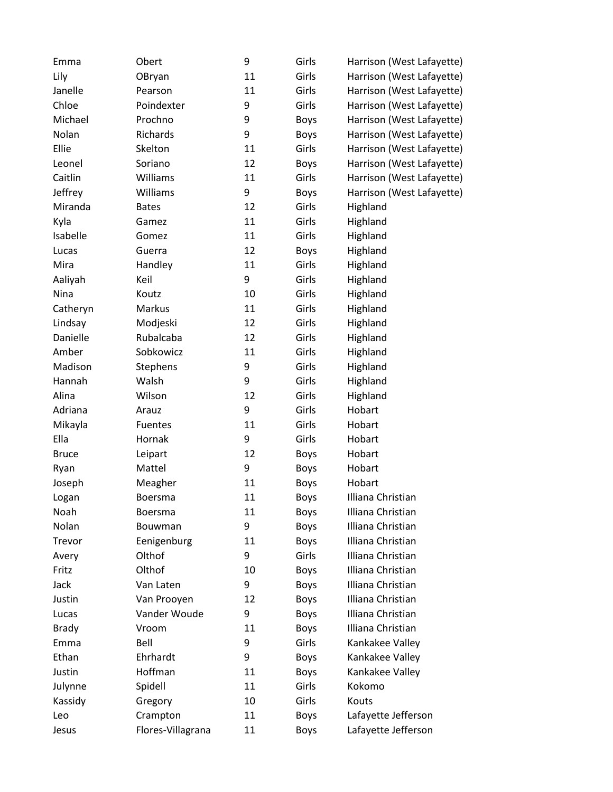| Emma         | Obert             | 9  | Girls       | Harrison (West Lafayette) |
|--------------|-------------------|----|-------------|---------------------------|
| Lily         | OBryan            | 11 | Girls       | Harrison (West Lafayette) |
| Janelle      | Pearson           | 11 | Girls       | Harrison (West Lafayette) |
| Chloe        | Poindexter        | 9  | Girls       | Harrison (West Lafayette) |
| Michael      | Prochno           | 9  | <b>Boys</b> | Harrison (West Lafayette) |
| Nolan        | Richards          | 9  | <b>Boys</b> | Harrison (West Lafayette) |
| Ellie        | Skelton           | 11 | Girls       | Harrison (West Lafayette) |
| Leonel       | Soriano           | 12 | <b>Boys</b> | Harrison (West Lafayette) |
| Caitlin      | Williams          | 11 | Girls       | Harrison (West Lafayette) |
| Jeffrey      | Williams          | 9  | <b>Boys</b> | Harrison (West Lafayette) |
| Miranda      | <b>Bates</b>      | 12 | Girls       | Highland                  |
| Kyla         | Gamez             | 11 | Girls       | Highland                  |
| Isabelle     | Gomez             | 11 | Girls       | Highland                  |
| Lucas        | Guerra            | 12 | <b>Boys</b> | Highland                  |
| Mira         | Handley           | 11 | Girls       | Highland                  |
| Aaliyah      | Keil              | 9  | Girls       | Highland                  |
| Nina         | Koutz             | 10 | Girls       | Highland                  |
| Catheryn     | Markus            | 11 | Girls       | Highland                  |
| Lindsay      | Modjeski          | 12 | Girls       | Highland                  |
| Danielle     | Rubalcaba         | 12 | Girls       | Highland                  |
| Amber        | Sobkowicz         | 11 | Girls       | Highland                  |
| Madison      | Stephens          | 9  | Girls       | Highland                  |
| Hannah       | Walsh             | 9  | Girls       | Highland                  |
| Alina        | Wilson            | 12 | Girls       | Highland                  |
| Adriana      | Arauz             | 9  | Girls       | Hobart                    |
| Mikayla      | <b>Fuentes</b>    | 11 | Girls       | Hobart                    |
| Ella         | Hornak            | 9  | Girls       | Hobart                    |
| <b>Bruce</b> | Leipart           | 12 | <b>Boys</b> | Hobart                    |
| Ryan         | Mattel            | 9  | <b>Boys</b> | Hobart                    |
| Joseph       | Meagher           | 11 | <b>Boys</b> | Hobart                    |
| Logan        | Boersma           | 11 | <b>Boys</b> | Illiana Christian         |
| Noah         | <b>Boersma</b>    | 11 | <b>Boys</b> | Illiana Christian         |
| Nolan        | Bouwman           | 9  | <b>Boys</b> | Illiana Christian         |
| Trevor       | Eenigenburg       | 11 | Boys        | Illiana Christian         |
| Avery        | Olthof            | 9  | Girls       | Illiana Christian         |
| Fritz        | Olthof            | 10 | Boys        | Illiana Christian         |
| Jack         | Van Laten         | 9  | <b>Boys</b> | Illiana Christian         |
| Justin       | Van Prooyen       | 12 | <b>Boys</b> | Illiana Christian         |
| Lucas        | Vander Woude      | 9  | <b>Boys</b> | Illiana Christian         |
| <b>Brady</b> | Vroom             | 11 | Boys        | Illiana Christian         |
| Emma         | Bell              | 9  | Girls       | Kankakee Valley           |
| Ethan        | Ehrhardt          | 9  | Boys        | Kankakee Valley           |
| Justin       | Hoffman           | 11 | <b>Boys</b> | Kankakee Valley           |
| Julynne      | Spidell           | 11 | Girls       | Kokomo                    |
| Kassidy      | Gregory           | 10 | Girls       | Kouts                     |
| Leo          | Crampton          | 11 | Boys        | Lafayette Jefferson       |
| Jesus        | Flores-Villagrana | 11 | <b>Boys</b> | Lafayette Jefferson       |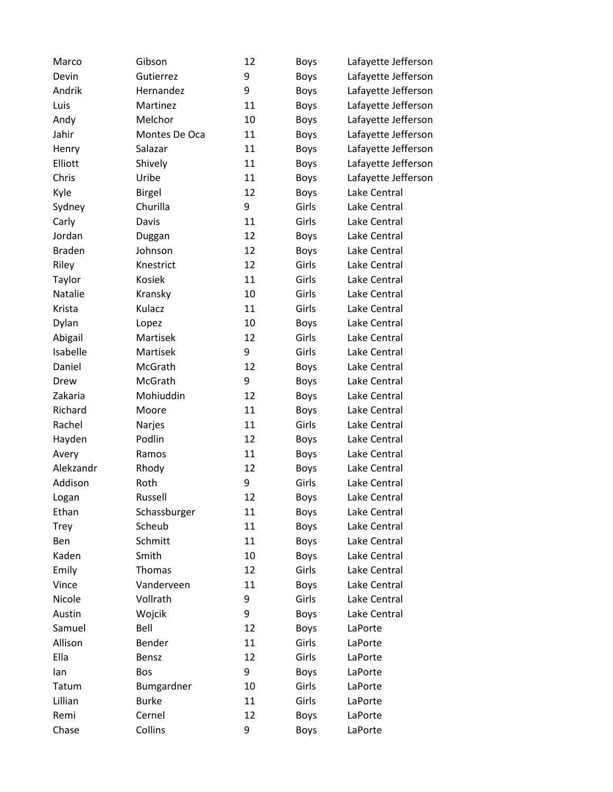| Gibson        | 12 | <b>Boys</b> | Lafayette Jefferson |
|---------------|----|-------------|---------------------|
| Gutierrez     | 9  | <b>Boys</b> | Lafayette Jefferson |
| Hernandez     | 9  | <b>Boys</b> | Lafayette Jefferson |
| Martinez      | 11 | <b>Boys</b> | Lafayette Jefferson |
| Melchor       | 10 | <b>Boys</b> | Lafayette Jefferson |
| Montes De Oca | 11 | <b>Boys</b> | Lafayette Jefferson |
| Salazar       | 11 | Boys        | Lafayette Jefferson |
| Shively       | 11 | <b>Boys</b> | Lafayette Jefferson |
| Uribe         | 11 | <b>Boys</b> | Lafayette Jefferson |
| <b>Birgel</b> | 12 | <b>Boys</b> | Lake Central        |
| Churilla      | 9  | Girls       | Lake Central        |
| Davis         | 11 | Girls       | Lake Central        |
| Duggan        | 12 | <b>Boys</b> | Lake Central        |
| Johnson       | 12 | Boys        | Lake Central        |
| Knestrict     | 12 | Girls       | Lake Central        |
| Kosiek        | 11 | Girls       | Lake Central        |
| Kransky       | 10 | Girls       | Lake Central        |
| Kulacz        | 11 | Girls       | Lake Central        |
| Lopez         | 10 | <b>Boys</b> | Lake Central        |
| Martisek      | 12 | Girls       | Lake Central        |
| Martisek      | 9  | Girls       | Lake Central        |
| McGrath       | 12 | <b>Boys</b> | Lake Central        |
| McGrath       | 9  | Boys        | Lake Central        |
| Mohiuddin     | 12 | <b>Boys</b> | Lake Central        |
| Moore         | 11 | <b>Boys</b> | Lake Central        |
| Narjes        | 11 | Girls       | Lake Central        |
| Podlin        | 12 | <b>Boys</b> | Lake Central        |
| Ramos         | 11 | <b>Boys</b> | Lake Central        |
| Rhody         | 12 | <b>Boys</b> | Lake Central        |
| Roth          | 9  | Girls       | Lake Central        |
| Russell       | 12 | <b>Boys</b> | Lake Central        |
| Schassburger  | 11 | <b>Boys</b> | Lake Central        |
| Scheub        | 11 | Boys        | Lake Central        |
| Schmitt       | 11 | <b>Boys</b> | Lake Central        |
| Smith         | 10 | <b>Boys</b> | Lake Central        |
| Thomas        | 12 | Girls       | Lake Central        |
| Vanderveen    | 11 | <b>Boys</b> | Lake Central        |
| Vollrath      | 9  | Girls       | Lake Central        |
| Wojcik        | 9  | Boys        | Lake Central        |
| Bell          | 12 | <b>Boys</b> | LaPorte             |
| Bender        | 11 | Girls       | LaPorte             |
| Bensz         | 12 | Girls       | LaPorte             |
| Bos           | 9  | <b>Boys</b> | LaPorte             |
| Bumgardner    | 10 | Girls       | LaPorte             |
| <b>Burke</b>  | 11 | Girls       | LaPorte             |
| Cernel        | 12 | <b>Boys</b> | LaPorte             |
| Collins       | 9  | Boys        | LaPorte             |
|               |    |             |                     |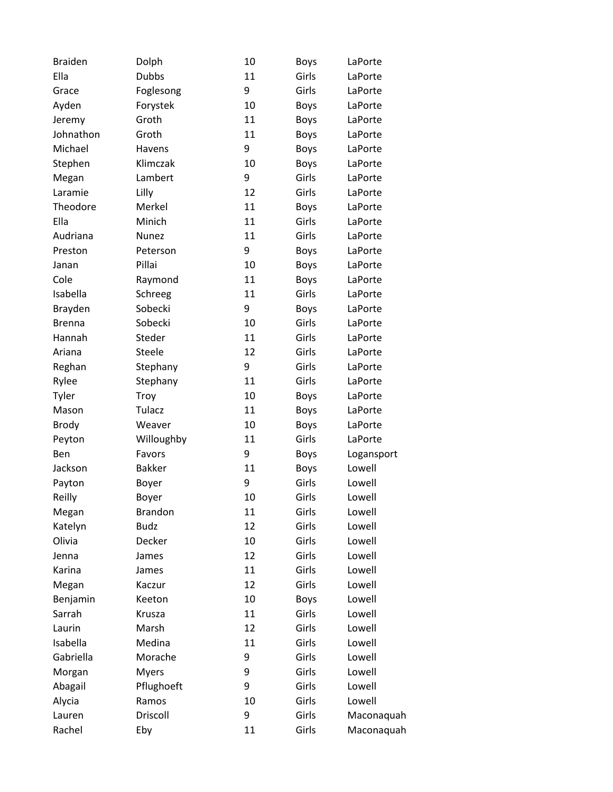| <b>Braiden</b> | Dolph          | 10 | <b>Boys</b> | LaPorte    |
|----------------|----------------|----|-------------|------------|
| Ella           | <b>Dubbs</b>   | 11 | Girls       | LaPorte    |
| Grace          | Foglesong      | 9  | Girls       | LaPorte    |
| Ayden          | Forystek       | 10 | Boys        | LaPorte    |
| Jeremy         | Groth          | 11 | <b>Boys</b> | LaPorte    |
| Johnathon      | Groth          | 11 | <b>Boys</b> | LaPorte    |
| Michael        | Havens         | 9  | <b>Boys</b> | LaPorte    |
| Stephen        | Klimczak       | 10 | <b>Boys</b> | LaPorte    |
| Megan          | Lambert        | 9  | Girls       | LaPorte    |
| Laramie        | Lilly          | 12 | Girls       | LaPorte    |
| Theodore       | Merkel         | 11 | Boys        | LaPorte    |
| Ella           | Minich         | 11 | Girls       | LaPorte    |
| Audriana       | Nunez          | 11 | Girls       | LaPorte    |
| Preston        | Peterson       | 9  | <b>Boys</b> | LaPorte    |
| Janan          | Pillai         | 10 | <b>Boys</b> | LaPorte    |
| Cole           | Raymond        | 11 | <b>Boys</b> | LaPorte    |
| Isabella       | Schreeg        | 11 | Girls       | LaPorte    |
| Brayden        | Sobecki        | 9  | <b>Boys</b> | LaPorte    |
| <b>Brenna</b>  | Sobecki        | 10 | Girls       | LaPorte    |
| Hannah         | Steder         | 11 | Girls       | LaPorte    |
| Ariana         | Steele         | 12 | Girls       | LaPorte    |
| Reghan         | Stephany       | 9  | Girls       | LaPorte    |
| Rylee          | Stephany       | 11 | Girls       | LaPorte    |
| Tyler          | Troy           | 10 | <b>Boys</b> | LaPorte    |
| Mason          | Tulacz         | 11 | <b>Boys</b> | LaPorte    |
| <b>Brody</b>   | Weaver         | 10 | <b>Boys</b> | LaPorte    |
| Peyton         | Willoughby     | 11 | Girls       | LaPorte    |
| Ben            | Favors         | 9  | Boys        | Logansport |
| Jackson        | <b>Bakker</b>  | 11 | <b>Boys</b> | Lowell     |
| Payton         | Boyer          | 9  | Girls       | Lowell     |
| Reilly         | Boyer          | 10 | Girls       | Lowell     |
| Megan          | <b>Brandon</b> | 11 | Girls       | Lowell     |
| Katelyn        | <b>Budz</b>    | 12 | Girls       | Lowell     |
| Olivia         | Decker         | 10 | Girls       | Lowell     |
| Jenna          | James          | 12 | Girls       | Lowell     |
| Karina         | James          | 11 | Girls       | Lowell     |
| Megan          | Kaczur         | 12 | Girls       | Lowell     |
| Benjamin       | Keeton         | 10 | <b>Boys</b> | Lowell     |
| Sarrah         | Krusza         | 11 | Girls       | Lowell     |
| Laurin         | Marsh          | 12 | Girls       | Lowell     |
| Isabella       | Medina         | 11 | Girls       | Lowell     |
| Gabriella      | Morache        | 9  | Girls       | Lowell     |
| Morgan         | <b>Myers</b>   | 9  | Girls       | Lowell     |
| Abagail        | Pflughoeft     | 9  | Girls       | Lowell     |
| Alycia         | Ramos          | 10 | Girls       | Lowell     |
| Lauren         | Driscoll       | 9  | Girls       | Maconaquah |
| Rachel         | Eby            | 11 | Girls       | Maconaquah |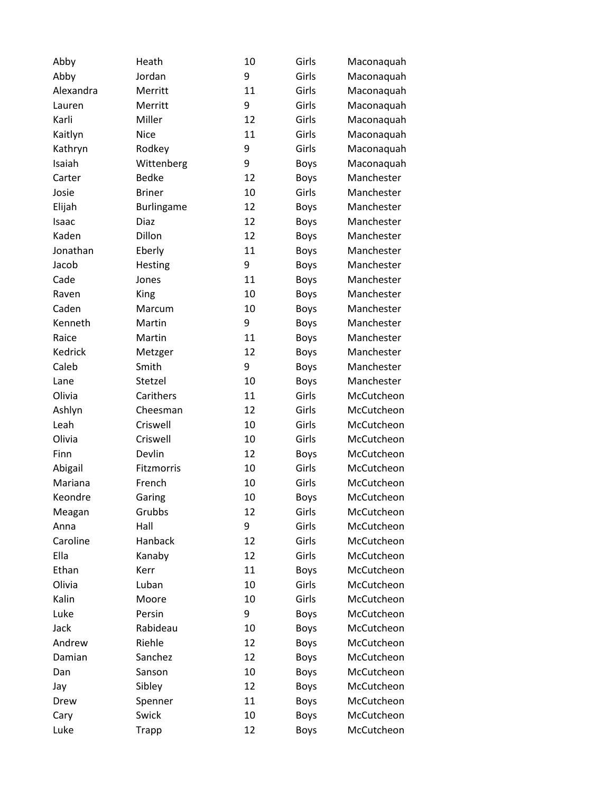| Abby      | Heath         | 10 | Girls       | Maconaquah |
|-----------|---------------|----|-------------|------------|
| Abby      | Jordan        | 9  | Girls       | Maconaquah |
| Alexandra | Merritt       | 11 | Girls       | Maconaquah |
| Lauren    | Merritt       | 9  | Girls       | Maconaquah |
| Karli     | Miller        | 12 | Girls       | Maconaquah |
| Kaitlyn   | <b>Nice</b>   | 11 | Girls       | Maconaquah |
| Kathryn   | Rodkey        | 9  | Girls       | Maconaquah |
| Isaiah    | Wittenberg    | 9  | <b>Boys</b> | Maconaquah |
| Carter    | <b>Bedke</b>  | 12 | <b>Boys</b> | Manchester |
| Josie     | <b>Briner</b> | 10 | Girls       | Manchester |
| Elijah    | Burlingame    | 12 | <b>Boys</b> | Manchester |
| Isaac     | Diaz          | 12 | <b>Boys</b> | Manchester |
| Kaden     | Dillon        | 12 | <b>Boys</b> | Manchester |
| Jonathan  | Eberly        | 11 | <b>Boys</b> | Manchester |
| Jacob     | Hesting       | 9  | <b>Boys</b> | Manchester |
| Cade      | Jones         | 11 | <b>Boys</b> | Manchester |
| Raven     | King          | 10 | <b>Boys</b> | Manchester |
| Caden     | Marcum        | 10 | <b>Boys</b> | Manchester |
| Kenneth   | Martin        | 9  | <b>Boys</b> | Manchester |
| Raice     | Martin        | 11 | <b>Boys</b> | Manchester |
| Kedrick   | Metzger       | 12 | <b>Boys</b> | Manchester |
| Caleb     | Smith         | 9  | <b>Boys</b> | Manchester |
| Lane      | Stetzel       | 10 | <b>Boys</b> | Manchester |
| Olivia    | Carithers     | 11 | Girls       | McCutcheon |
| Ashlyn    | Cheesman      | 12 | Girls       | McCutcheon |
| Leah      | Criswell      | 10 | Girls       | McCutcheon |
| Olivia    | Criswell      | 10 | Girls       | McCutcheon |
| Finn      | Devlin        | 12 | <b>Boys</b> | McCutcheon |
| Abigail   | Fitzmorris    | 10 | Girls       | McCutcheon |
| Mariana   | French        | 10 | Girls       | McCutcheon |
| Keondre   | Garing        | 10 | <b>Boys</b> | McCutcheon |
| Meagan    | Grubbs        | 12 | Girls       | McCutcheon |
| Anna      | Hall          | 9  | Girls       | McCutcheon |
| Caroline  | Hanback       | 12 | Girls       | McCutcheon |
| Ella      | Kanaby        | 12 | Girls       | McCutcheon |
| Ethan     | Kerr          | 11 | <b>Boys</b> | McCutcheon |
| Olivia    | Luban         | 10 | Girls       | McCutcheon |
| Kalin     | Moore         | 10 | Girls       | McCutcheon |
| Luke      | Persin        | 9  | <b>Boys</b> | McCutcheon |
| Jack      | Rabideau      | 10 | <b>Boys</b> | McCutcheon |
| Andrew    | Riehle        | 12 | <b>Boys</b> | McCutcheon |
| Damian    | Sanchez       | 12 | <b>Boys</b> | McCutcheon |
| Dan       | Sanson        | 10 | <b>Boys</b> | McCutcheon |
| Jay       | Sibley        | 12 | <b>Boys</b> | McCutcheon |
| Drew      | Spenner       | 11 | <b>Boys</b> | McCutcheon |
| Cary      | Swick         | 10 | <b>Boys</b> | McCutcheon |
| Luke      | <b>Trapp</b>  | 12 | <b>Boys</b> | McCutcheon |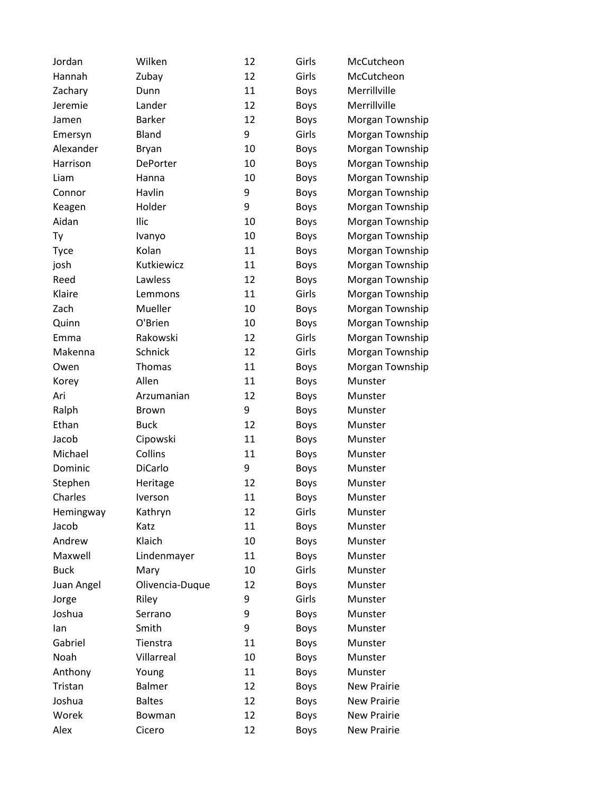| Jordan      | Wilken          | 12 | Girls       | McCutcheon         |
|-------------|-----------------|----|-------------|--------------------|
| Hannah      | Zubay           | 12 | Girls       | McCutcheon         |
| Zachary     | Dunn            | 11 | <b>Boys</b> | Merrillville       |
| Jeremie     | Lander          | 12 | <b>Boys</b> | Merrillville       |
| Jamen       | <b>Barker</b>   | 12 | <b>Boys</b> | Morgan Township    |
| Emersyn     | <b>Bland</b>    | 9  | Girls       | Morgan Township    |
| Alexander   | Bryan           | 10 | <b>Boys</b> | Morgan Township    |
| Harrison    | DePorter        | 10 | <b>Boys</b> | Morgan Township    |
| Liam        | Hanna           | 10 | <b>Boys</b> | Morgan Township    |
| Connor      | Havlin          | 9  | <b>Boys</b> | Morgan Township    |
| Keagen      | Holder          | 9  | <b>Boys</b> | Morgan Township    |
| Aidan       | Ilic            | 10 | <b>Boys</b> | Morgan Township    |
| Ty          | Ivanyo          | 10 | <b>Boys</b> | Morgan Township    |
| <b>Tyce</b> | Kolan           | 11 | <b>Boys</b> | Morgan Township    |
| josh        | Kutkiewicz      | 11 | <b>Boys</b> | Morgan Township    |
| Reed        | Lawless         | 12 | <b>Boys</b> | Morgan Township    |
| Klaire      | Lemmons         | 11 | Girls       | Morgan Township    |
| Zach        | Mueller         | 10 | <b>Boys</b> | Morgan Township    |
| Quinn       | O'Brien         | 10 | Boys        | Morgan Township    |
| Emma        | Rakowski        | 12 | Girls       | Morgan Township    |
| Makenna     | Schnick         | 12 | Girls       | Morgan Township    |
| Owen        | Thomas          | 11 | <b>Boys</b> | Morgan Township    |
| Korey       | Allen           | 11 | <b>Boys</b> | Munster            |
| Ari         | Arzumanian      | 12 | <b>Boys</b> | Munster            |
| Ralph       | <b>Brown</b>    | 9  | <b>Boys</b> | Munster            |
| Ethan       | <b>Buck</b>     | 12 | <b>Boys</b> | Munster            |
| Jacob       | Cipowski        | 11 | <b>Boys</b> | Munster            |
| Michael     | Collins         | 11 | <b>Boys</b> | Munster            |
| Dominic     | DiCarlo         | 9  | <b>Boys</b> | Munster            |
| Stephen     | Heritage        | 12 | <b>Boys</b> | Munster            |
| Charles     | Iverson         | 11 | <b>Boys</b> | Munster            |
| Hemingway   | Kathryn         | 12 | Girls       | Munster            |
| Jacob       | Katz            | 11 | <b>Boys</b> | Munster            |
| Andrew      | Klaich          | 10 | <b>Boys</b> | Munster            |
| Maxwell     | Lindenmayer     | 11 | <b>Boys</b> | Munster            |
| <b>Buck</b> | Mary            | 10 | Girls       | Munster            |
| Juan Angel  | Olivencia-Duque | 12 | <b>Boys</b> | Munster            |
| Jorge       | Riley           | 9  | Girls       | Munster            |
| Joshua      | Serrano         | 9  | <b>Boys</b> | Munster            |
| lan         | Smith           | 9  | <b>Boys</b> | Munster            |
| Gabriel     | Tienstra        | 11 | <b>Boys</b> | Munster            |
| Noah        | Villarreal      | 10 | <b>Boys</b> | Munster            |
| Anthony     | Young           | 11 | Boys        | Munster            |
| Tristan     | Balmer          | 12 | <b>Boys</b> | <b>New Prairie</b> |
| Joshua      | <b>Baltes</b>   | 12 | Boys        | <b>New Prairie</b> |
| Worek       | Bowman          | 12 | <b>Boys</b> | <b>New Prairie</b> |
| Alex        | Cicero          | 12 | Boys        | <b>New Prairie</b> |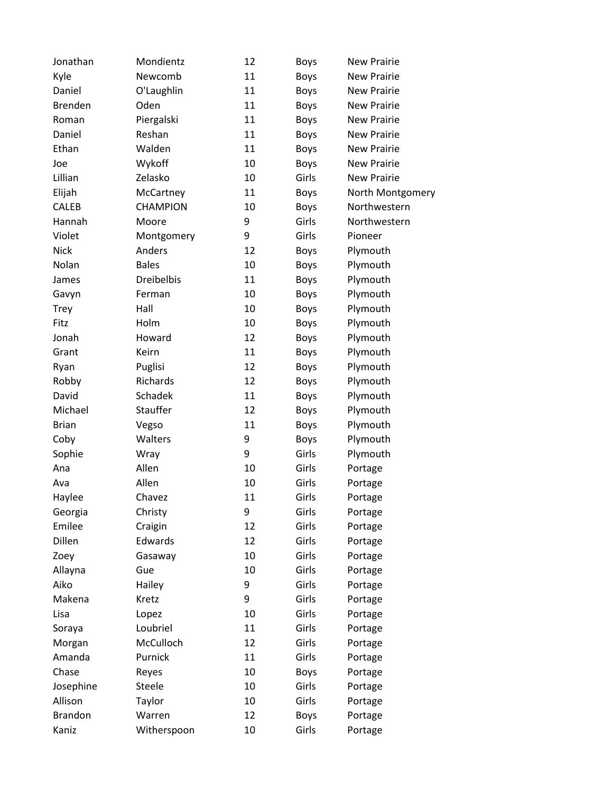| Jonathan       | Mondientz         | 12 | <b>Boys</b> | <b>New Prairie</b> |
|----------------|-------------------|----|-------------|--------------------|
| Kyle           | Newcomb           | 11 | <b>Boys</b> | <b>New Prairie</b> |
| Daniel         | O'Laughlin        | 11 | Boys        | <b>New Prairie</b> |
| <b>Brenden</b> | Oden              | 11 | <b>Boys</b> | <b>New Prairie</b> |
| Roman          | Piergalski        | 11 | <b>Boys</b> | <b>New Prairie</b> |
| Daniel         | Reshan            | 11 | <b>Boys</b> | <b>New Prairie</b> |
| Ethan          | Walden            | 11 | <b>Boys</b> | <b>New Prairie</b> |
| Joe            | Wykoff            | 10 | <b>Boys</b> | <b>New Prairie</b> |
| Lillian        | Zelasko           | 10 | Girls       | <b>New Prairie</b> |
| Elijah         | McCartney         | 11 | <b>Boys</b> | North Montgomery   |
| CALEB          | <b>CHAMPION</b>   | 10 | <b>Boys</b> | Northwestern       |
| Hannah         | Moore             | 9  | Girls       | Northwestern       |
| Violet         | Montgomery        | 9  | Girls       | Pioneer            |
| Nick           | Anders            | 12 | Boys        | Plymouth           |
| Nolan          | <b>Bales</b>      | 10 | <b>Boys</b> | Plymouth           |
| James          | <b>Dreibelbis</b> | 11 | <b>Boys</b> | Plymouth           |
| Gavyn          | Ferman            | 10 | Boys        | Plymouth           |
| Trey           | Hall              | 10 | <b>Boys</b> | Plymouth           |
| Fitz           | Holm              | 10 | <b>Boys</b> | Plymouth           |
| Jonah          | Howard            | 12 | Boys        | Plymouth           |
| Grant          | Keirn             | 11 | <b>Boys</b> | Plymouth           |
| Ryan           | Puglisi           | 12 | Boys        | Plymouth           |
| Robby          | Richards          | 12 | <b>Boys</b> | Plymouth           |
| David          | Schadek           | 11 | Boys        | Plymouth           |
| Michael        | Stauffer          | 12 | <b>Boys</b> | Plymouth           |
| <b>Brian</b>   | Vegso             | 11 | <b>Boys</b> | Plymouth           |
| Coby           | Walters           | 9  | Boys        | Plymouth           |
| Sophie         | Wray              | 9  | Girls       | Plymouth           |
| Ana            | Allen             | 10 | Girls       | Portage            |
| Ava            | Allen             | 10 | Girls       | Portage            |
| Haylee         | Chavez            | 11 | Girls       | Portage            |
| Georgia        | Christy           | 9  | Girls       | Portage            |
| Emilee         | Craigin           | 12 | Girls       | Portage            |
| Dillen         | Edwards           | 12 | Girls       | Portage            |
| Zoey           | Gasaway           | 10 | Girls       | Portage            |
| Allayna        | Gue               | 10 | Girls       | Portage            |
| Aiko           | Hailey            | 9  | Girls       | Portage            |
| Makena         | Kretz             | 9  | Girls       | Portage            |
| Lisa           | Lopez             | 10 | Girls       | Portage            |
| Soraya         | Loubriel          | 11 | Girls       | Portage            |
| Morgan         | McCulloch         | 12 | Girls       | Portage            |
| Amanda         | Purnick           | 11 | Girls       | Portage            |
| Chase          | Reyes             | 10 | Boys        | Portage            |
| Josephine      | Steele            | 10 | Girls       | Portage            |
| Allison        | Taylor            | 10 | Girls       | Portage            |
| <b>Brandon</b> | Warren            | 12 | <b>Boys</b> | Portage            |
| Kaniz          | Witherspoon       | 10 | Girls       | Portage            |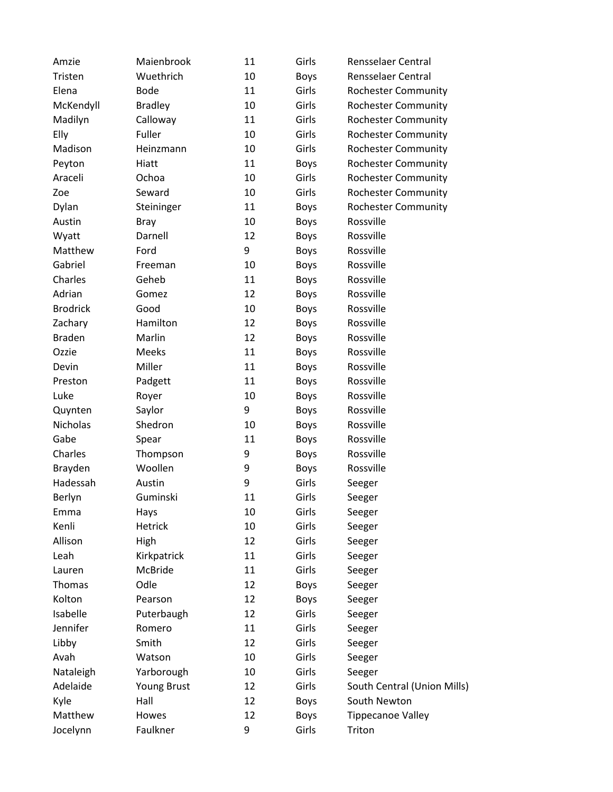| Amzie           | Maienbrook     | 11 | Girls       | <b>Rensselaer Central</b>   |
|-----------------|----------------|----|-------------|-----------------------------|
| Tristen         | Wuethrich      | 10 | <b>Boys</b> | Rensselaer Central          |
| Elena           | <b>Bode</b>    | 11 | Girls       | <b>Rochester Community</b>  |
| McKendyll       | <b>Bradley</b> | 10 | Girls       | <b>Rochester Community</b>  |
| Madilyn         | Calloway       | 11 | Girls       | <b>Rochester Community</b>  |
| Elly            | Fuller         | 10 | Girls       | <b>Rochester Community</b>  |
| Madison         | Heinzmann      | 10 | Girls       | <b>Rochester Community</b>  |
| Peyton          | Hiatt          | 11 | <b>Boys</b> | <b>Rochester Community</b>  |
| Araceli         | Ochoa          | 10 | Girls       | <b>Rochester Community</b>  |
| Zoe             | Seward         | 10 | Girls       | <b>Rochester Community</b>  |
| Dylan           | Steininger     | 11 | Boys        | <b>Rochester Community</b>  |
| Austin          | <b>Bray</b>    | 10 | <b>Boys</b> | Rossville                   |
| Wyatt           | Darnell        | 12 | <b>Boys</b> | Rossville                   |
| Matthew         | Ford           | 9  | Boys        | Rossville                   |
| Gabriel         | Freeman        | 10 | <b>Boys</b> | Rossville                   |
| Charles         | Geheb          | 11 | Boys        | Rossville                   |
| Adrian          | Gomez          | 12 | Boys        | Rossville                   |
| <b>Brodrick</b> | Good           | 10 | <b>Boys</b> | Rossville                   |
| Zachary         | Hamilton       | 12 | Boys        | Rossville                   |
| <b>Braden</b>   | Marlin         | 12 | <b>Boys</b> | Rossville                   |
| Ozzie           | Meeks          | 11 | Boys        | Rossville                   |
| Devin           | Miller         | 11 | <b>Boys</b> | Rossville                   |
| Preston         | Padgett        | 11 | Boys        | Rossville                   |
| Luke            | Royer          | 10 | Boys        | Rossville                   |
| Quynten         | Saylor         | 9  | <b>Boys</b> | Rossville                   |
| Nicholas        | Shedron        | 10 | Boys        | Rossville                   |
| Gabe            | Spear          | 11 | <b>Boys</b> | Rossville                   |
| Charles         | Thompson       | 9  | Boys        | Rossville                   |
| Brayden         | Woollen        | 9  | Boys        | Rossville                   |
| Hadessah        | Austin         | 9  | Girls       | Seeger                      |
| Berlyn          | Guminski       | 11 | Girls       | Seeger                      |
| Emma            | Hays           | 10 | Girls       | Seeger                      |
| Kenli           | Hetrick        | 10 | Girls       | Seeger                      |
| Allison         | High           | 12 | Girls       | Seeger                      |
| Leah            | Kirkpatrick    | 11 | Girls       | Seeger                      |
| Lauren          | McBride        | 11 | Girls       | Seeger                      |
| Thomas          | Odle           | 12 | <b>Boys</b> | Seeger                      |
| Kolton          | Pearson        | 12 | Boys        | Seeger                      |
| Isabelle        | Puterbaugh     | 12 | Girls       | Seeger                      |
| Jennifer        | Romero         | 11 | Girls       | Seeger                      |
| Libby           | Smith          | 12 | Girls       | Seeger                      |
| Avah            | Watson         | 10 | Girls       | Seeger                      |
| Nataleigh       | Yarborough     | 10 | Girls       | Seeger                      |
| Adelaide        | Young Brust    | 12 | Girls       | South Central (Union Mills) |
| Kyle            | Hall           | 12 | Boys        | South Newton                |
| Matthew         | Howes          | 12 | <b>Boys</b> | <b>Tippecanoe Valley</b>    |
| Jocelynn        | Faulkner       | 9  | Girls       | Triton                      |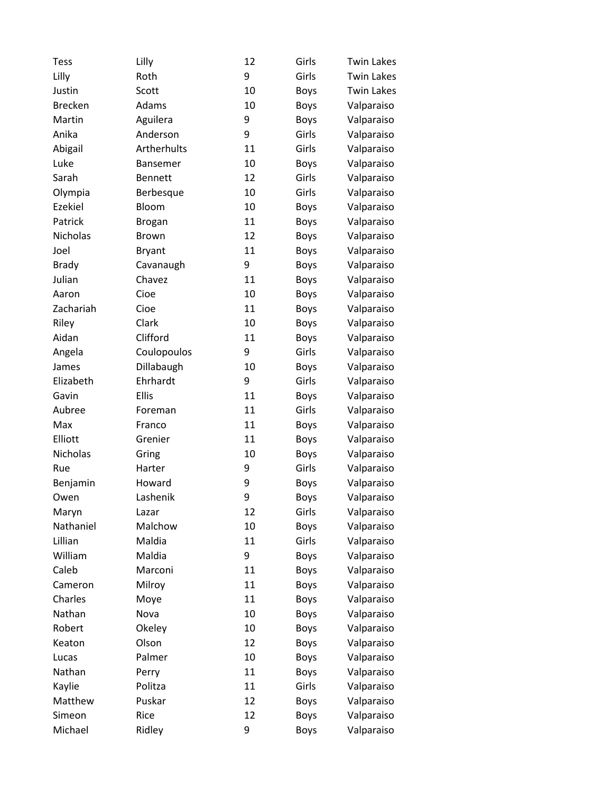| <b>Tess</b>    | Lilly           | 12 | Girls       | <b>Twin Lakes</b> |
|----------------|-----------------|----|-------------|-------------------|
| Lilly          | Roth            | 9  | Girls       | <b>Twin Lakes</b> |
| Justin         | Scott           | 10 | Boys        | <b>Twin Lakes</b> |
| <b>Brecken</b> | Adams           | 10 | Boys        | Valparaiso        |
| Martin         | Aguilera        | 9  | <b>Boys</b> | Valparaiso        |
| Anika          | Anderson        | 9  | Girls       | Valparaiso        |
| Abigail        | Artherhults     | 11 | Girls       | Valparaiso        |
| Luke           | <b>Bansemer</b> | 10 | Boys        | Valparaiso        |
| Sarah          | <b>Bennett</b>  | 12 | Girls       | Valparaiso        |
| Olympia        | Berbesque       | 10 | Girls       | Valparaiso        |
| Ezekiel        | Bloom           | 10 | <b>Boys</b> | Valparaiso        |
| Patrick        | <b>Brogan</b>   | 11 | Boys        | Valparaiso        |
| Nicholas       | <b>Brown</b>    | 12 | <b>Boys</b> | Valparaiso        |
| Joel           | <b>Bryant</b>   | 11 | Boys        | Valparaiso        |
| <b>Brady</b>   | Cavanaugh       | 9  | Boys        | Valparaiso        |
| Julian         | Chavez          | 11 | <b>Boys</b> | Valparaiso        |
| Aaron          | Cioe            | 10 | Boys        | Valparaiso        |
| Zachariah      | Cioe            | 11 | <b>Boys</b> | Valparaiso        |
| Riley          | Clark           | 10 | Boys        | Valparaiso        |
| Aidan          | Clifford        | 11 | Boys        | Valparaiso        |
| Angela         | Coulopoulos     | 9  | Girls       | Valparaiso        |
| James          | Dillabaugh      | 10 | <b>Boys</b> | Valparaiso        |
| Elizabeth      | Ehrhardt        | 9  | Girls       | Valparaiso        |
| Gavin          | Ellis           | 11 | Boys        | Valparaiso        |
| Aubree         | Foreman         | 11 | Girls       | Valparaiso        |
| Max            | Franco          | 11 | Boys        | Valparaiso        |
| Elliott        | Grenier         | 11 | <b>Boys</b> | Valparaiso        |
| Nicholas       | Gring           | 10 | <b>Boys</b> | Valparaiso        |
| Rue            | Harter          | 9  | Girls       | Valparaiso        |
| Benjamin       | Howard          | 9  | <b>Boys</b> | Valparaiso        |
| Owen           | Lashenik        | 9  | <b>Boys</b> | Valparaiso        |
| Maryn          | Lazar           | 12 | Girls       | Valparaiso        |
| Nathaniel      | Malchow         | 10 | <b>Boys</b> | Valparaiso        |
| Lillian        | Maldia          | 11 | Girls       | Valparaiso        |
| William        | Maldia          | 9  | Boys        | Valparaiso        |
| Caleb          | Marconi         | 11 | <b>Boys</b> | Valparaiso        |
| Cameron        | Milroy          | 11 | <b>Boys</b> | Valparaiso        |
| Charles        | Moye            | 11 | <b>Boys</b> | Valparaiso        |
| Nathan         | Nova            | 10 | <b>Boys</b> | Valparaiso        |
| Robert         | Okeley          | 10 | <b>Boys</b> | Valparaiso        |
| Keaton         | Olson           | 12 | <b>Boys</b> | Valparaiso        |
| Lucas          | Palmer          | 10 | <b>Boys</b> | Valparaiso        |
| Nathan         | Perry           | 11 | <b>Boys</b> | Valparaiso        |
| Kaylie         | Politza         | 11 | Girls       | Valparaiso        |
| Matthew        | Puskar          | 12 | <b>Boys</b> | Valparaiso        |
| Simeon         | Rice            | 12 | <b>Boys</b> | Valparaiso        |
| Michael        | Ridley          | 9  | Boys        | Valparaiso        |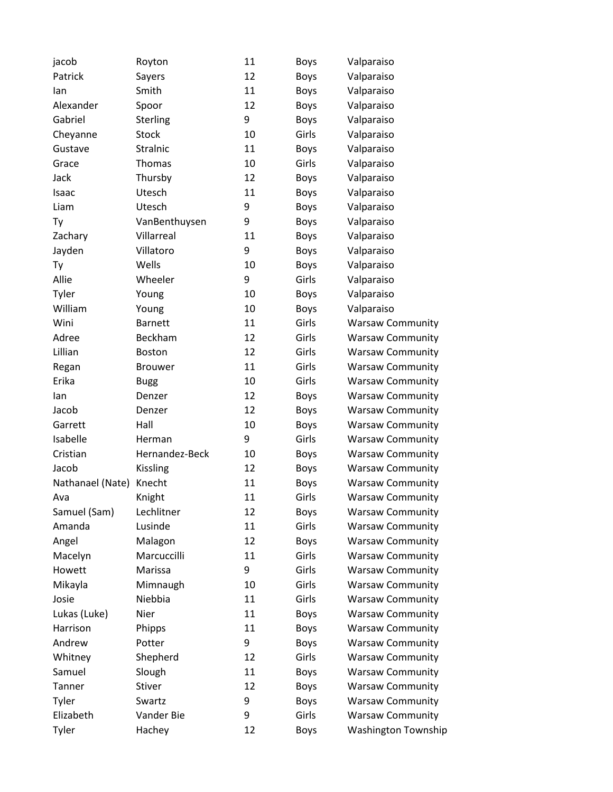| jacob            | Royton          | 11 | Boys        | Valparaiso                 |
|------------------|-----------------|----|-------------|----------------------------|
| Patrick          | Sayers          | 12 | <b>Boys</b> | Valparaiso                 |
| lan              | Smith           | 11 | <b>Boys</b> | Valparaiso                 |
| Alexander        | Spoor           | 12 | <b>Boys</b> | Valparaiso                 |
| Gabriel          | Sterling        | 9  | <b>Boys</b> | Valparaiso                 |
| Cheyanne         | <b>Stock</b>    | 10 | Girls       | Valparaiso                 |
| Gustave          | Stralnic        | 11 | <b>Boys</b> | Valparaiso                 |
| Grace            | Thomas          | 10 | Girls       | Valparaiso                 |
| Jack             | Thursby         | 12 | <b>Boys</b> | Valparaiso                 |
| Isaac            | Utesch          | 11 | <b>Boys</b> | Valparaiso                 |
| Liam             | Utesch          | 9  | <b>Boys</b> | Valparaiso                 |
| Ty               | VanBenthuysen   | 9  | <b>Boys</b> | Valparaiso                 |
| Zachary          | Villarreal      | 11 | <b>Boys</b> | Valparaiso                 |
| Jayden           | Villatoro       | 9  | Boys        | Valparaiso                 |
| Ty               | Wells           | 10 | <b>Boys</b> | Valparaiso                 |
| Allie            | Wheeler         | 9  | Girls       | Valparaiso                 |
| Tyler            | Young           | 10 | Boys        | Valparaiso                 |
| William          | Young           | 10 | <b>Boys</b> | Valparaiso                 |
| Wini             | <b>Barnett</b>  | 11 | Girls       | <b>Warsaw Community</b>    |
| Adree            | Beckham         | 12 | Girls       | <b>Warsaw Community</b>    |
| Lillian          | Boston          | 12 | Girls       | <b>Warsaw Community</b>    |
| Regan            | <b>Brouwer</b>  | 11 | Girls       | <b>Warsaw Community</b>    |
| Erika            | <b>Bugg</b>     | 10 | Girls       | <b>Warsaw Community</b>    |
| lan              | Denzer          | 12 | Boys        | <b>Warsaw Community</b>    |
| Jacob            | Denzer          | 12 | <b>Boys</b> | <b>Warsaw Community</b>    |
| Garrett          | Hall            | 10 | <b>Boys</b> | <b>Warsaw Community</b>    |
| Isabelle         | Herman          | 9  | Girls       | <b>Warsaw Community</b>    |
| Cristian         | Hernandez-Beck  | 10 | Boys        | <b>Warsaw Community</b>    |
| Jacob            | <b>Kissling</b> | 12 | Boys        | <b>Warsaw Community</b>    |
| Nathanael (Nate) | Knecht          | 11 | <b>Boys</b> | <b>Warsaw Community</b>    |
| Ava              | Knight          | 11 | Girls       | <b>Warsaw Community</b>    |
| Samuel (Sam)     | Lechlitner      | 12 | Boys        | <b>Warsaw Community</b>    |
| Amanda           | Lusinde         | 11 | Girls       | <b>Warsaw Community</b>    |
| Angel            | Malagon         | 12 | <b>Boys</b> | <b>Warsaw Community</b>    |
| Macelyn          | Marcuccilli     | 11 | Girls       | <b>Warsaw Community</b>    |
| Howett           | Marissa         | 9  | Girls       | <b>Warsaw Community</b>    |
| Mikayla          | Mimnaugh        | 10 | Girls       | <b>Warsaw Community</b>    |
| Josie            | Niebbia         | 11 | Girls       | <b>Warsaw Community</b>    |
| Lukas (Luke)     | Nier            | 11 | <b>Boys</b> | <b>Warsaw Community</b>    |
| Harrison         | Phipps          | 11 | <b>Boys</b> | <b>Warsaw Community</b>    |
| Andrew           | Potter          | 9  | <b>Boys</b> | <b>Warsaw Community</b>    |
| Whitney          | Shepherd        | 12 | Girls       | <b>Warsaw Community</b>    |
| Samuel           | Slough          | 11 | <b>Boys</b> | <b>Warsaw Community</b>    |
| Tanner           | Stiver          | 12 | <b>Boys</b> | <b>Warsaw Community</b>    |
| Tyler            | Swartz          | 9  | <b>Boys</b> | <b>Warsaw Community</b>    |
| Elizabeth        | Vander Bie      | 9  | Girls       | <b>Warsaw Community</b>    |
| Tyler            | Hachey          | 12 | <b>Boys</b> | <b>Washington Township</b> |
|                  |                 |    |             |                            |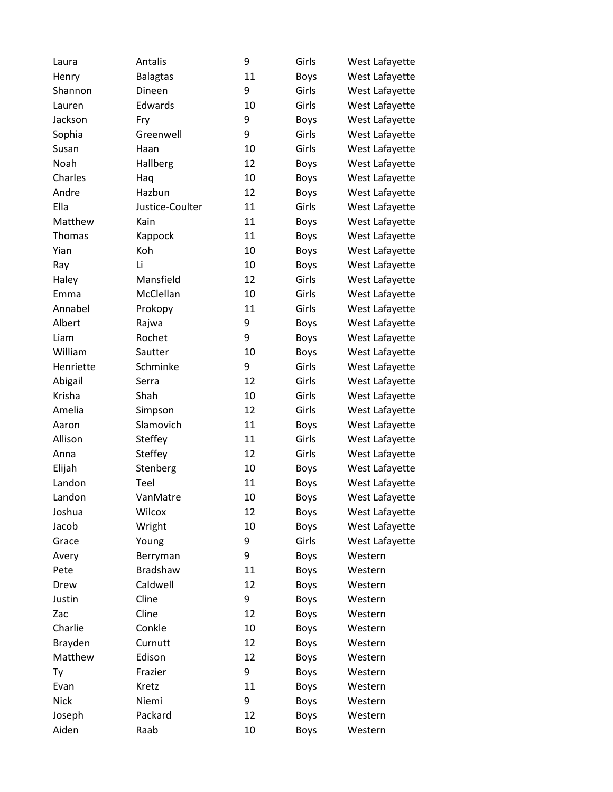| Laura       | Antalis         | 9  | Girls       | West Lafayette |
|-------------|-----------------|----|-------------|----------------|
| Henry       | <b>Balagtas</b> | 11 | <b>Boys</b> | West Lafayette |
| Shannon     | Dineen          | 9  | Girls       | West Lafayette |
| Lauren      | Edwards         | 10 | Girls       | West Lafayette |
| Jackson     | Fry             | 9  | <b>Boys</b> | West Lafayette |
| Sophia      | Greenwell       | 9  | Girls       | West Lafayette |
| Susan       | Haan            | 10 | Girls       | West Lafayette |
| Noah        | Hallberg        | 12 | <b>Boys</b> | West Lafayette |
| Charles     | Haq             | 10 | <b>Boys</b> | West Lafayette |
| Andre       | Hazbun          | 12 | <b>Boys</b> | West Lafayette |
| Ella        | Justice-Coulter | 11 | Girls       | West Lafayette |
| Matthew     | Kain            | 11 | <b>Boys</b> | West Lafayette |
| Thomas      | Kappock         | 11 | <b>Boys</b> | West Lafayette |
| Yian        | Koh             | 10 | <b>Boys</b> | West Lafayette |
| Ray         | Li              | 10 | <b>Boys</b> | West Lafayette |
| Haley       | Mansfield       | 12 | Girls       | West Lafayette |
| Emma        | McClellan       | 10 | Girls       | West Lafayette |
| Annabel     | Prokopy         | 11 | Girls       | West Lafayette |
| Albert      | Rajwa           | 9  | <b>Boys</b> | West Lafayette |
| Liam        | Rochet          | 9  | <b>Boys</b> | West Lafayette |
| William     | Sautter         | 10 | <b>Boys</b> | West Lafayette |
| Henriette   | Schminke        | 9  | Girls       | West Lafayette |
| Abigail     | Serra           | 12 | Girls       | West Lafayette |
| Krisha      | Shah            | 10 | Girls       | West Lafayette |
| Amelia      | Simpson         | 12 | Girls       | West Lafayette |
| Aaron       | Slamovich       | 11 | <b>Boys</b> | West Lafayette |
| Allison     | Steffey         | 11 | Girls       | West Lafayette |
| Anna        | Steffey         | 12 | Girls       | West Lafayette |
| Elijah      | Stenberg        | 10 | <b>Boys</b> | West Lafayette |
| Landon      | Teel            | 11 | <b>Boys</b> | West Lafayette |
| Landon      | VanMatre        | 10 | <b>Boys</b> | West Lafayette |
| Joshua      | Wilcox          | 12 | <b>Boys</b> | West Lafayette |
| Jacob       | Wright          | 10 | <b>Boys</b> | West Lafayette |
| Grace       | Young           | 9  | Girls       | West Lafayette |
| Avery       | Berryman        | 9  | <b>Boys</b> | Western        |
| Pete        | Bradshaw        | 11 | <b>Boys</b> | Western        |
| Drew        | Caldwell        | 12 | <b>Boys</b> | Western        |
| Justin      | Cline           | 9  | <b>Boys</b> | Western        |
| Zac         | Cline           | 12 | <b>Boys</b> | Western        |
| Charlie     | Conkle          | 10 | <b>Boys</b> | Western        |
| Brayden     | Curnutt         | 12 | <b>Boys</b> | Western        |
| Matthew     | Edison          | 12 | <b>Boys</b> | Western        |
| Ty          | Frazier         | 9  | <b>Boys</b> | Western        |
| Evan        | Kretz           | 11 | <b>Boys</b> | Western        |
| <b>Nick</b> | Niemi           | 9  | <b>Boys</b> | Western        |
| Joseph      | Packard         | 12 | Boys        | Western        |
| Aiden       | Raab            | 10 | <b>Boys</b> | Western        |